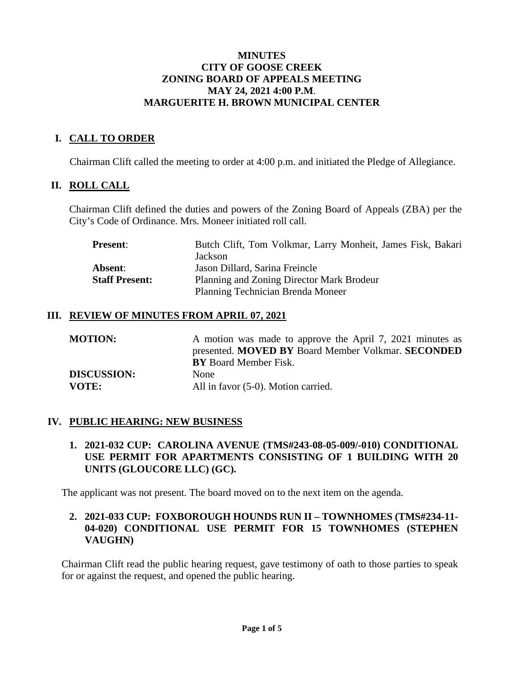#### **MINUTES CITY OF GOOSE CREEK ZONING BOARD OF APPEALS MEETING MAY 24, 2021 4:00 P.M**. **MARGUERITE H. BROWN MUNICIPAL CENTER**

# **I. CALL TO ORDER**

Chairman Clift called the meeting to order at 4:00 p.m. and initiated the Pledge of Allegiance.

## **II. ROLL CALL**

Chairman Clift defined the duties and powers of the Zoning Board of Appeals (ZBA) per the City's Code of Ordinance. Mrs. Moneer initiated roll call.

| <b>Present:</b>                                                    | Butch Clift, Tom Volkmar, Larry Monheit, James Fisk, Bakari |
|--------------------------------------------------------------------|-------------------------------------------------------------|
|                                                                    | Jackson                                                     |
| Absent:                                                            | Jason Dillard, Sarina Freincle                              |
| <b>Staff Present:</b><br>Planning and Zoning Director Mark Brodeur |                                                             |
|                                                                    | Planning Technician Brenda Moneer                           |

#### **III. REVIEW OF MINUTES FROM APRIL 07, 2021**

| <b>MOTION:</b>     | A motion was made to approve the April 7, 2021 minutes as |
|--------------------|-----------------------------------------------------------|
|                    | presented. MOVED BY Board Member Volkmar. SECONDED        |
|                    | <b>BY</b> Board Member Fisk.                              |
| <b>DISCUSSION:</b> | <b>None</b>                                               |
| <b>VOTE:</b>       | All in favor (5-0). Motion carried.                       |

## **IV. PUBLIC HEARING: NEW BUSINESS**

**1. 2021-032 CUP: CAROLINA AVENUE (TMS#243-08-05-009/-010) CONDITIONAL USE PERMIT FOR APARTMENTS CONSISTING OF 1 BUILDING WITH 20 UNITS (GLOUCORE LLC) (GC).**

The applicant was not present. The board moved on to the next item on the agenda.

## **2. 2021-033 CUP: FOXBOROUGH HOUNDS RUN II – TOWNHOMES (TMS#234-11- 04-020) CONDITIONAL USE PERMIT FOR 15 TOWNHOMES (STEPHEN VAUGHN)**

Chairman Clift read the public hearing request, gave testimony of oath to those parties to speak for or against the request, and opened the public hearing.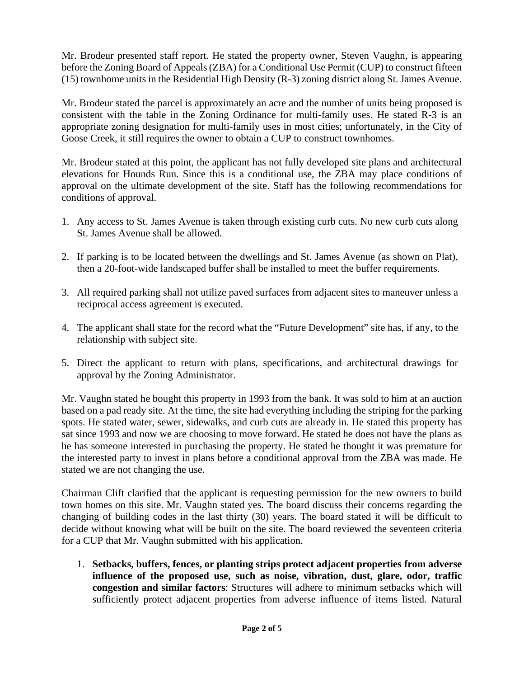Mr. Brodeur presented staff report. He stated the property owner, Steven Vaughn, is appearing before the Zoning Board of Appeals (ZBA) for a Conditional Use Permit (CUP) to construct fifteen (15) townhome units in the Residential High Density (R-3) zoning district along St. James Avenue.

Mr. Brodeur stated the parcel is approximately an acre and the number of units being proposed is consistent with the table in the Zoning Ordinance for multi-family uses. He stated R-3 is an appropriate zoning designation for multi-family uses in most cities; unfortunately, in the City of Goose Creek, it still requires the owner to obtain a CUP to construct townhomes.

Mr. Brodeur stated at this point, the applicant has not fully developed site plans and architectural elevations for Hounds Run. Since this is a conditional use, the ZBA may place conditions of approval on the ultimate development of the site. Staff has the following recommendations for conditions of approval.

- 1. Any access to St. James Avenue is taken through existing curb cuts. No new curb cuts along St. James Avenue shall be allowed.
- 2. If parking is to be located between the dwellings and St. James Avenue (as shown on Plat), then a 20-foot-wide landscaped buffer shall be installed to meet the buffer requirements.
- 3. All required parking shall not utilize paved surfaces from adjacent sites to maneuver unless a reciprocal access agreement is executed.
- 4. The applicant shall state for the record what the "Future Development" site has, if any, to the relationship with subject site.
- 5. Direct the applicant to return with plans, specifications, and architectural drawings for approval by the Zoning Administrator.

Mr. Vaughn stated he bought this property in 1993 from the bank. It was sold to him at an auction based on a pad ready site. At the time, the site had everything including the striping for the parking spots. He stated water, sewer, sidewalks, and curb cuts are already in. He stated this property has sat since 1993 and now we are choosing to move forward. He stated he does not have the plans as he has someone interested in purchasing the property. He stated he thought it was premature for the interested party to invest in plans before a conditional approval from the ZBA was made. He stated we are not changing the use.

Chairman Clift clarified that the applicant is requesting permission for the new owners to build town homes on this site. Mr. Vaughn stated yes. The board discuss their concerns regarding the changing of building codes in the last thirty (30) years. The board stated it will be difficult to decide without knowing what will be built on the site. The board reviewed the seventeen criteria for a CUP that Mr. Vaughn submitted with his application.

1. **Setbacks, buffers, fences, or planting strips protect adjacent properties from adverse influence of the proposed use, such as noise, vibration, dust, glare, odor, traffic congestion and similar factors**: Structures will adhere to minimum setbacks which will sufficiently protect adjacent properties from adverse influence of items listed. Natural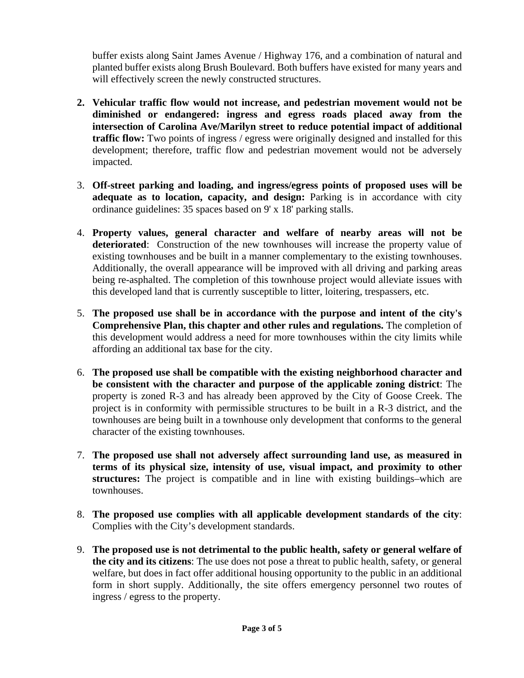buffer exists along Saint James Avenue / Highway 176, and a combination of natural and planted buffer exists along Brush Boulevard. Both buffers have existed for many years and will effectively screen the newly constructed structures.

- **2. Vehicular traffic flow would not increase, and pedestrian movement would not be diminished or endangered: ingress and egress roads placed away from the intersection of Carolina Ave/Marilyn street to reduce potential impact of additional traffic flow:** Two points of ingress / egress were originally designed and installed for this development; therefore, traffic flow and pedestrian movement would not be adversely impacted.
- 3. **Off-street parking and loading, and ingress/egress points of proposed uses will be adequate as to location, capacity, and design:** Parking is in accordance with city ordinance guidelines: 35 spaces based on 9' x 18' parking stalls.
- 4. **Property values, general character and welfare of nearby areas will not be deteriorated**: Construction of the new townhouses will increase the property value of existing townhouses and be built in a manner complementary to the existing townhouses. Additionally, the overall appearance will be improved with all driving and parking areas being re-asphalted. The completion of this townhouse project would alleviate issues with this developed land that is currently susceptible to litter, loitering, trespassers, etc.
- 5. **The proposed use shall be in accordance with the purpose and intent of the city's Comprehensive Plan, this chapter and other rules and regulations.** The completion of this development would address a need for more townhouses within the city limits while affording an additional tax base for the city.
- 6. **The proposed use shall be compatible with the existing neighborhood character and be consistent with the character and purpose of the applicable zoning district**: The property is zoned R-3 and has already been approved by the City of Goose Creek. The project is in conformity with permissible structures to be built in a R-3 district, and the townhouses are being built in a townhouse only development that conforms to the general character of the existing townhouses.
- 7. **The proposed use shall not adversely affect surrounding land use, as measured in terms of its physical size, intensity of use, visual impact, and proximity to other structures:** The project is compatible and in line with existing buildings–which are townhouses.
- 8. **The proposed use complies with all applicable development standards of the city**: Complies with the City's development standards.
- 9. **The proposed use is not detrimental to the public health, safety or general welfare of the city and its citizens**: The use does not pose a threat to public health, safety, or general welfare, but does in fact offer additional housing opportunity to the public in an additional form in short supply. Additionally, the site offers emergency personnel two routes of ingress / egress to the property.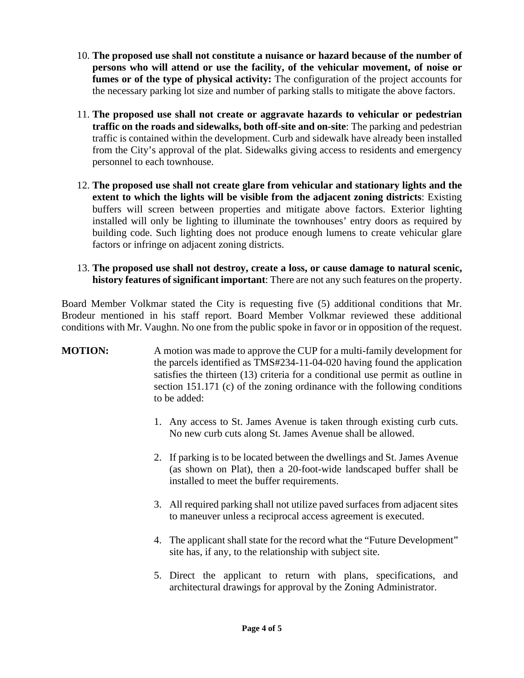- 10. **The proposed use shall not constitute a nuisance or hazard because of the number of persons who will attend or use the facility, of the vehicular movement, of noise or fumes or of the type of physical activity:** The configuration of the project accounts for the necessary parking lot size and number of parking stalls to mitigate the above factors.
- 11. **The proposed use shall not create or aggravate hazards to vehicular or pedestrian traffic on the roads and sidewalks, both off-site and on-site**: The parking and pedestrian traffic is contained within the development. Curb and sidewalk have already been installed from the City's approval of the plat. Sidewalks giving access to residents and emergency personnel to each townhouse.
- 12. **The proposed use shall not create glare from vehicular and stationary lights and the extent to which the lights will be visible from the adjacent zoning districts**: Existing buffers will screen between properties and mitigate above factors. Exterior lighting installed will only be lighting to illuminate the townhouses' entry doors as required by building code. Such lighting does not produce enough lumens to create vehicular glare factors or infringe on adjacent zoning districts.
- 13. **The proposed use shall not destroy, create a loss, or cause damage to natural scenic, history features of significant important**: There are not any such features on the property.

Board Member Volkmar stated the City is requesting five (5) additional conditions that Mr. Brodeur mentioned in his staff report. Board Member Volkmar reviewed these additional conditions with Mr. Vaughn. No one from the public spoke in favor or in opposition of the request.

# **MOTION:** A motion was made to approve the CUP for a multi-family development for the parcels identified as TMS#234-11-04-020 having found the application satisfies the thirteen (13) criteria for a conditional use permit as outline in section 151.171 (c) of the zoning ordinance with the following conditions to be added:

- 1. Any access to St. James Avenue is taken through existing curb cuts. No new curb cuts along St. James Avenue shall be allowed.
- 2. If parking is to be located between the dwellings and St. James Avenue (as shown on Plat), then a 20-foot-wide landscaped buffer shall be installed to meet the buffer requirements.
- 3. All required parking shall not utilize paved surfaces from adjacent sites to maneuver unless a reciprocal access agreement is executed.
- 4. The applicant shall state for the record what the "Future Development" site has, if any, to the relationship with subject site.
- 5. Direct the applicant to return with plans, specifications, and architectural drawings for approval by the Zoning Administrator.